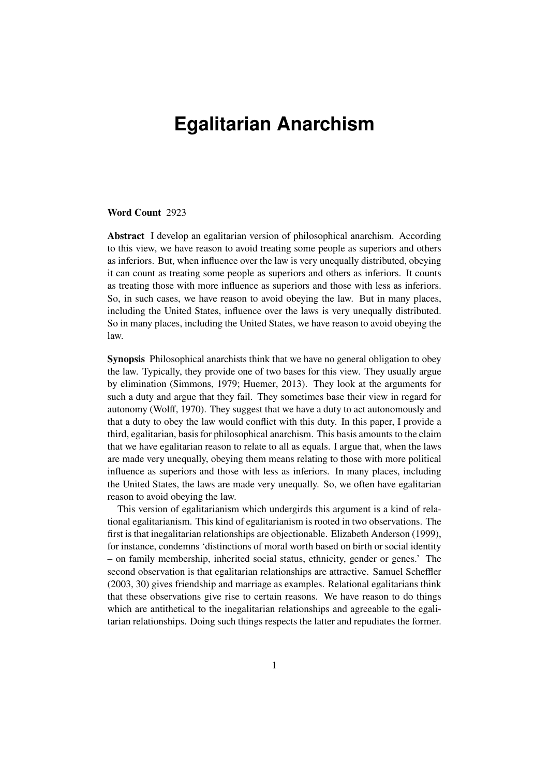# **Egalitarian Anarchism**

#### **Word Count** 2923

**Abstract** I develop an egalitarian version of philosophical anarchism. According to this view, we have reason to avoid treating some people as superiors and others as inferiors. But, when influence over the law is very unequally distributed, obeying it can count as treating some people as superiors and others as inferiors. It counts as treating those with more influence as superiors and those with less as inferiors. So, in such cases, we have reason to avoid obeying the law. But in many places, including the United States, influence over the laws is very unequally distributed. So in many places, including the United States, we have reason to avoid obeying the law.

**Synopsis** Philosophical anarchists think that we have no general obligation to obey the law. Typically, they provide one of two bases for this view. They usually argue by elimination [\(Simmons,](#page-7-0) [1979;](#page-7-0) [Huemer,](#page-7-1) [2013\)](#page-7-1). They look at the arguments for such a duty and argue that they fail. They sometimes base their view in regard for autonomy [\(Wolff,](#page-7-2) [1970\)](#page-7-2). They suggest that we have a duty to act autonomously and that a duty to obey the law would conflict with this duty. In this paper, I provide a third, egalitarian, basis for philosophical anarchism. This basis amounts to the claim that we have egalitarian reason to relate to all as equals. I argue that, when the laws are made very unequally, obeying them means relating to those with more political influence as superiors and those with less as inferiors. In many places, including the United States, the laws are made very unequally. So, we often have egalitarian reason to avoid obeying the law.

This version of egalitarianism which undergirds this argument is a kind of relational egalitarianism. This kind of egalitarianism is rooted in two observations. The first is that inegalitarian relationships are objectionable. Elizabeth [Anderson](#page-7-3) [\(1999\)](#page-7-3), for instance, condemns 'distinctions of moral worth based on birth or social identity – on family membership, inherited social status, ethnicity, gender or genes.' The second observation is that egalitarian relationships are attractive. Samuel [Scheffler](#page-7-4) [\(2003,](#page-7-4) 30) gives friendship and marriage as examples. Relational egalitarians think that these observations give rise to certain reasons. We have reason to do things which are antithetical to the inegalitarian relationships and agreeable to the egalitarian relationships. Doing such things respects the latter and repudiates the former.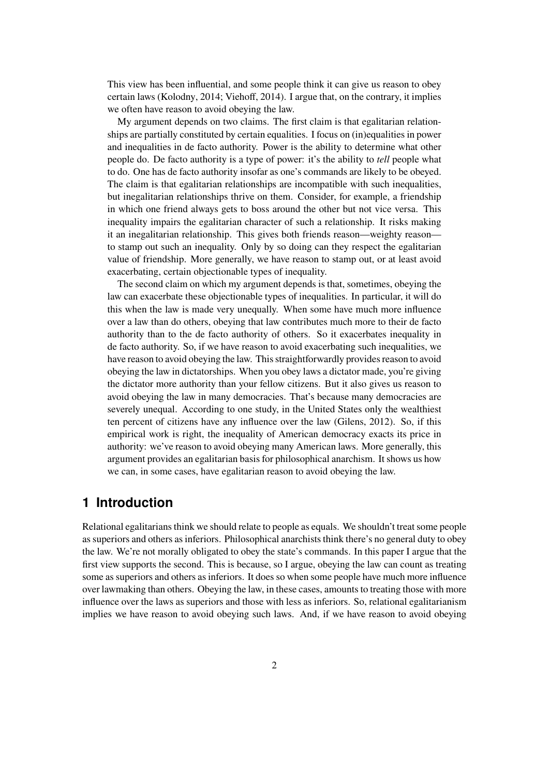This view has been influential, and some people think it can give us reason to obey certain laws [\(Kolodny,](#page-7-5) [2014;](#page-7-5) [Viehoff,](#page-7-6) [2014\)](#page-7-6). I argue that, on the contrary, it implies we often have reason to avoid obeying the law.

My argument depends on two claims. The first claim is that egalitarian relationships are partially constituted by certain equalities. I focus on (in)equalities in power and inequalities in de facto authority. Power is the ability to determine what other people do. De facto authority is a type of power: it's the ability to *tell* people what to do. One has de facto authority insofar as one's commands are likely to be obeyed. The claim is that egalitarian relationships are incompatible with such inequalities, but inegalitarian relationships thrive on them. Consider, for example, a friendship in which one friend always gets to boss around the other but not vice versa. This inequality impairs the egalitarian character of such a relationship. It risks making it an inegalitarian relationship. This gives both friends reason—weighty reason to stamp out such an inequality. Only by so doing can they respect the egalitarian value of friendship. More generally, we have reason to stamp out, or at least avoid exacerbating, certain objectionable types of inequality.

The second claim on which my argument depends is that, sometimes, obeying the law can exacerbate these objectionable types of inequalities. In particular, it will do this when the law is made very unequally. When some have much more influence over a law than do others, obeying that law contributes much more to their de facto authority than to the de facto authority of others. So it exacerbates inequality in de facto authority. So, if we have reason to avoid exacerbating such inequalities, we have reason to avoid obeying the law. This straightforwardly provides reason to avoid obeying the law in dictatorships. When you obey laws a dictator made, you're giving the dictator more authority than your fellow citizens. But it also gives us reason to avoid obeying the law in many democracies. That's because many democracies are severely unequal. According to one study, in the United States only the wealthiest ten percent of citizens have any influence over the law [\(Gilens,](#page-7-7) [2012\)](#page-7-7). So, if this empirical work is right, the inequality of American democracy exacts its price in authority: we've reason to avoid obeying many American laws. More generally, this argument provides an egalitarian basis for philosophical anarchism. It shows us how we can, in some cases, have egalitarian reason to avoid obeying the law.

## **1 Introduction**

Relational egalitarians think we should relate to people as equals. We shouldn't treat some people as superiors and others as inferiors. Philosophical anarchists think there's no general duty to obey the law. We're not morally obligated to obey the state's commands. In this paper I argue that the first view supports the second. This is because, so I argue, obeying the law can count as treating some as superiors and others as inferiors. It does so when some people have much more influence over lawmaking than others. Obeying the law, in these cases, amounts to treating those with more influence over the laws as superiors and those with less as inferiors. So, relational egalitarianism implies we have reason to avoid obeying such laws. And, if we have reason to avoid obeying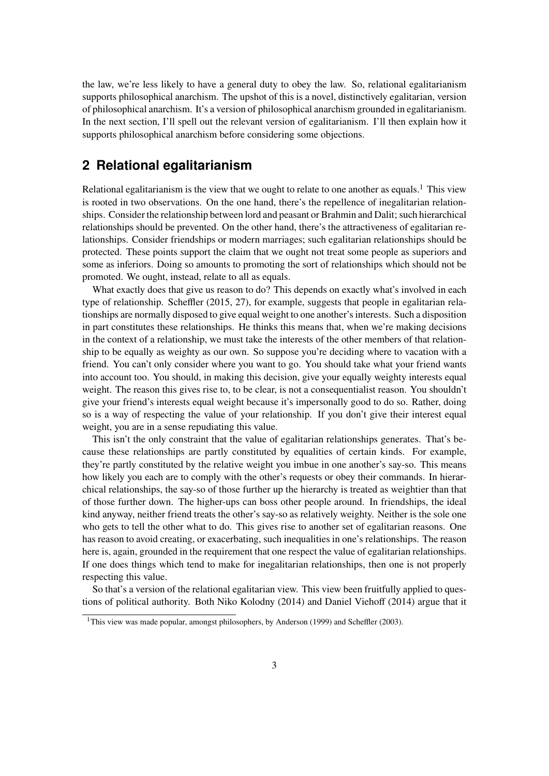the law, we're less likely to have a general duty to obey the law. So, relational egalitarianism supports philosophical anarchism. The upshot of this is a novel, distinctively egalitarian, version of philosophical anarchism. It's a version of philosophical anarchism grounded in egalitarianism. In the next section, I'll spell out the relevant version of egalitarianism. I'll then explain how it supports philosophical anarchism before considering some objections.

## **2 Relational egalitarianism**

Relational egalitarianism is the view that we ought to relate to one another as equals.<sup>[1](#page-2-0)</sup> This view is rooted in two observations. On the one hand, there's the repellence of inegalitarian relationships. Consider the relationship between lord and peasant or Brahmin and Dalit; such hierarchical relationships should be prevented. On the other hand, there's the attractiveness of egalitarian relationships. Consider friendships or modern marriages; such egalitarian relationships should be protected. These points support the claim that we ought not treat some people as superiors and some as inferiors. Doing so amounts to promoting the sort of relationships which should not be promoted. We ought, instead, relate to all as equals.

What exactly does that give us reason to do? This depends on exactly what's involved in each type of relationship. [Scheffler](#page-7-8) [\(2015,](#page-7-8) 27), for example, suggests that people in egalitarian relationships are normally disposed to give equal weight to one another's interests. Such a disposition in part constitutes these relationships. He thinks this means that, when we're making decisions in the context of a relationship, we must take the interests of the other members of that relationship to be equally as weighty as our own. So suppose you're deciding where to vacation with a friend. You can't only consider where you want to go. You should take what your friend wants into account too. You should, in making this decision, give your equally weighty interests equal weight. The reason this gives rise to, to be clear, is not a consequentialist reason. You shouldn't give your friend's interests equal weight because it's impersonally good to do so. Rather, doing so is a way of respecting the value of your relationship. If you don't give their interest equal weight, you are in a sense repudiating this value.

This isn't the only constraint that the value of egalitarian relationships generates. That's because these relationships are partly constituted by equalities of certain kinds. For example, they're partly constituted by the relative weight you imbue in one another's say-so. This means how likely you each are to comply with the other's requests or obey their commands. In hierarchical relationships, the say-so of those further up the hierarchy is treated as weightier than that of those further down. The higher-ups can boss other people around. In friendships, the ideal kind anyway, neither friend treats the other's say-so as relatively weighty. Neither is the sole one who gets to tell the other what to do. This gives rise to another set of egalitarian reasons. One has reason to avoid creating, or exacerbating, such inequalities in one's relationships. The reason here is, again, grounded in the requirement that one respect the value of egalitarian relationships. If one does things which tend to make for inegalitarian relationships, then one is not properly respecting this value.

So that's a version of the relational egalitarian view. This view been fruitfully applied to questions of political authority. Both Niko [Kolodny](#page-7-5) [\(2014\)](#page-7-5) and Daniel [Viehoff](#page-7-6) [\(2014\)](#page-7-6) argue that it

<span id="page-2-0"></span><sup>&</sup>lt;sup>1</sup>This view was made popular, amongst philosophers, by [Anderson](#page-7-3) [\(1999\)](#page-7-3) and [Scheffler](#page-7-4) [\(2003\)](#page-7-4).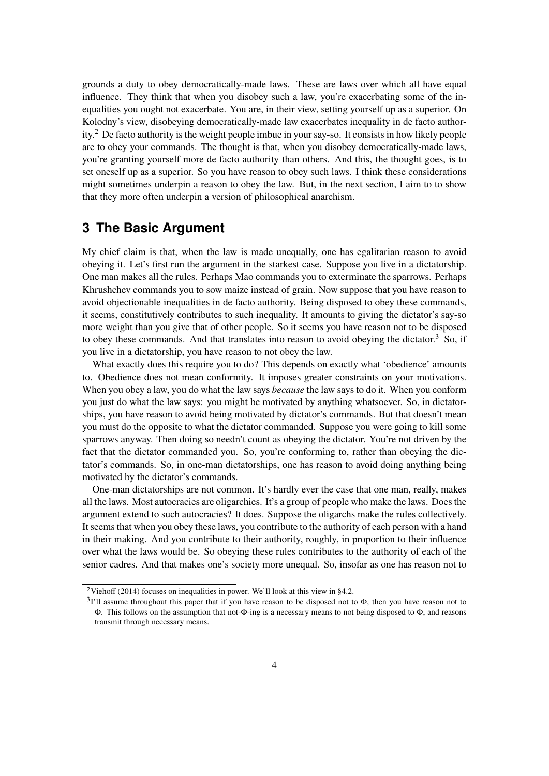grounds a duty to obey democratically-made laws. These are laws over which all have equal influence. They think that when you disobey such a law, you're exacerbating some of the inequalities you ought not exacerbate. You are, in their view, setting yourself up as a superior. On Kolodny's view, disobeying democratically-made law exacerbates inequality in de facto authority.[2](#page-3-0) De facto authority is the weight people imbue in your say-so. It consists in how likely people are to obey your commands. The thought is that, when you disobey democratically-made laws, you're granting yourself more de facto authority than others. And this, the thought goes, is to set oneself up as a superior. So you have reason to obey such laws. I think these considerations might sometimes underpin a reason to obey the law. But, in the next section, I aim to to show that they more often underpin a version of philosophical anarchism.

## **3 The Basic Argument**

My chief claim is that, when the law is made unequally, one has egalitarian reason to avoid obeying it. Let's first run the argument in the starkest case. Suppose you live in a dictatorship. One man makes all the rules. Perhaps Mao commands you to exterminate the sparrows. Perhaps Khrushchev commands you to sow maize instead of grain. Now suppose that you have reason to avoid objectionable inequalities in de facto authority. Being disposed to obey these commands, it seems, constitutively contributes to such inequality. It amounts to giving the dictator's say-so more weight than you give that of other people. So it seems you have reason not to be disposed to obey these commands. And that translates into reason to avoid obeying the dictator.<sup>[3](#page-3-1)</sup> So, if you live in a dictatorship, you have reason to not obey the law.

What exactly does this require you to do? This depends on exactly what 'obedience' amounts to. Obedience does not mean conformity. It imposes greater constraints on your motivations. When you obey a law, you do what the law says *because* the law says to do it. When you conform you just do what the law says: you might be motivated by anything whatsoever. So, in dictatorships, you have reason to avoid being motivated by dictator's commands. But that doesn't mean you must do the opposite to what the dictator commanded. Suppose you were going to kill some sparrows anyway. Then doing so needn't count as obeying the dictator. You're not driven by the fact that the dictator commanded you. So, you're conforming to, rather than obeying the dictator's commands. So, in one-man dictatorships, one has reason to avoid doing anything being motivated by the dictator's commands.

One-man dictatorships are not common. It's hardly ever the case that one man, really, makes all the laws. Most autocracies are oligarchies. It's a group of people who make the laws. Does the argument extend to such autocracies? It does. Suppose the oligarchs make the rules collectively. It seems that when you obey these laws, you contribute to the authority of each person with a hand in their making. And you contribute to their authority, roughly, in proportion to their influence over what the laws would be. So obeying these rules contributes to the authority of each of the senior cadres. And that makes one's society more unequal. So, insofar as one has reason not to

<span id="page-3-0"></span><sup>&</sup>lt;sup>2</sup>[Viehoff](#page-7-6) [\(2014\)](#page-7-6) focuses on inequalities in power. We'll look at this view in [§4.2.](#page-5-0)

<span id="page-3-1"></span> $31'$ ll assume throughout this paper that if you have reason to be disposed not to  $\Phi$ , then you have reason not to Φ. This follows on the assumption that not-Φ-ing is a necessary means to not being disposed to Φ, and reasons transmit through necessary means.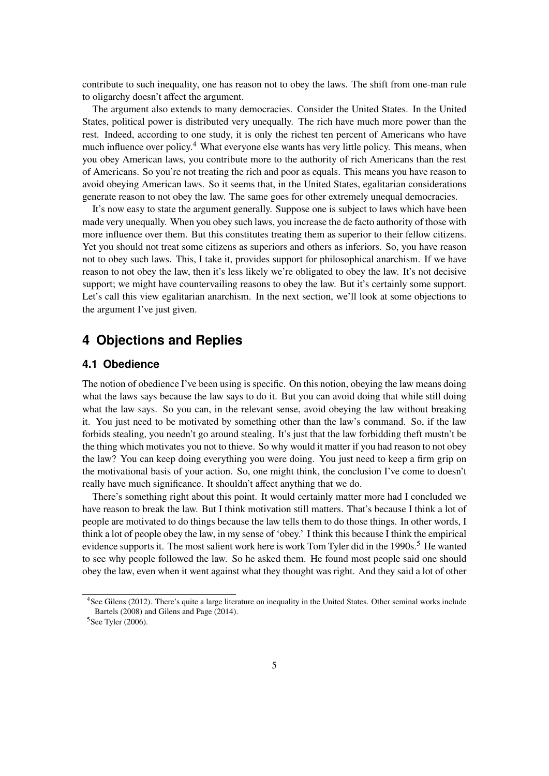contribute to such inequality, one has reason not to obey the laws. The shift from one-man rule to oligarchy doesn't affect the argument.

The argument also extends to many democracies. Consider the United States. In the United States, political power is distributed very unequally. The rich have much more power than the rest. Indeed, according to one study, it is only the richest ten percent of Americans who have much influence over policy.<sup>[4](#page-4-0)</sup> What everyone else wants has very little policy. This means, when you obey American laws, you contribute more to the authority of rich Americans than the rest of Americans. So you're not treating the rich and poor as equals. This means you have reason to avoid obeying American laws. So it seems that, in the United States, egalitarian considerations generate reason to not obey the law. The same goes for other extremely unequal democracies.

It's now easy to state the argument generally. Suppose one is subject to laws which have been made very unequally. When you obey such laws, you increase the de facto authority of those with more influence over them. But this constitutes treating them as superior to their fellow citizens. Yet you should not treat some citizens as superiors and others as inferiors. So, you have reason not to obey such laws. This, I take it, provides support for philosophical anarchism. If we have reason to not obey the law, then it's less likely we're obligated to obey the law. It's not decisive support; we might have countervailing reasons to obey the law. But it's certainly some support. Let's call this view egalitarian anarchism. In the next section, we'll look at some objections to the argument I've just given.

## **4 Objections and Replies**

#### **4.1 Obedience**

The notion of obedience I've been using is specific. On this notion, obeying the law means doing what the laws says because the law says to do it. But you can avoid doing that while still doing what the law says. So you can, in the relevant sense, avoid obeying the law without breaking it. You just need to be motivated by something other than the law's command. So, if the law forbids stealing, you needn't go around stealing. It's just that the law forbidding theft mustn't be the thing which motivates you not to thieve. So why would it matter if you had reason to not obey the law? You can keep doing everything you were doing. You just need to keep a firm grip on the motivational basis of your action. So, one might think, the conclusion I've come to doesn't really have much significance. It shouldn't affect anything that we do.

There's something right about this point. It would certainly matter more had I concluded we have reason to break the law. But I think motivation still matters. That's because I think a lot of people are motivated to do things because the law tells them to do those things. In other words, I think a lot of people obey the law, in my sense of 'obey.' I think this because I think the empirical evidence supports it. The most salient work here is work Tom Tyler did in the 1990s.<sup>[5](#page-4-1)</sup> He wanted to see why people followed the law. So he asked them. He found most people said one should obey the law, even when it went against what they thought was right. And they said a lot of other

<span id="page-4-0"></span><sup>&</sup>lt;sup>4</sup>See [Gilens](#page-7-7) [\(2012\)](#page-7-7). There's quite a large literature on inequality in the United States. Other seminal works include [Bartels](#page-7-9) [\(2008\)](#page-7-9) and [Gilens and Page](#page-7-10) [\(2014\)](#page-7-10).

<span id="page-4-1"></span><sup>5</sup>See [Tyler](#page-7-11) [\(2006\)](#page-7-11).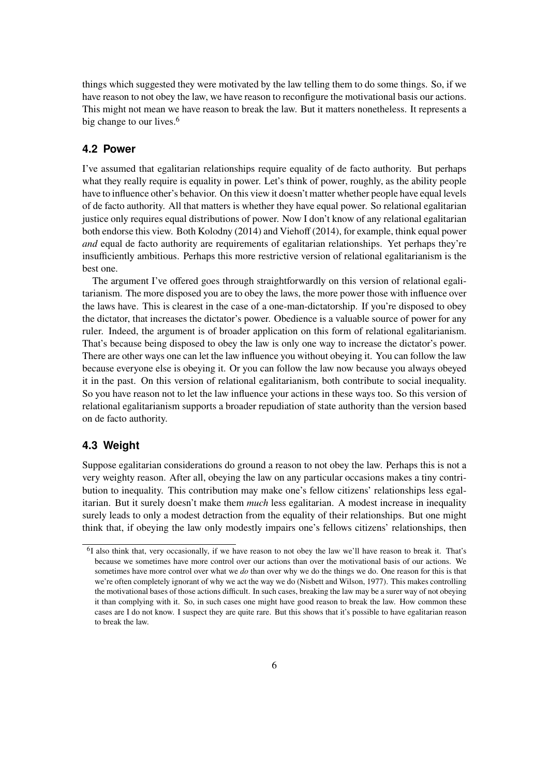things which suggested they were motivated by the law telling them to do some things. So, if we have reason to not obey the law, we have reason to reconfigure the motivational basis our actions. This might not mean we have reason to break the law. But it matters nonetheless. It represents a big change to our lives.<sup>[6](#page-5-1)</sup>

### <span id="page-5-0"></span>**4.2 Power**

I've assumed that egalitarian relationships require equality of de facto authority. But perhaps what they really require is equality in power. Let's think of power, roughly, as the ability people have to influence other's behavior. On this view it doesn't matter whether people have equal levels of de facto authority. All that matters is whether they have equal power. So relational egalitarian justice only requires equal distributions of power. Now I don't know of any relational egalitarian both endorse this view. Both [Kolodny](#page-7-5) [\(2014\)](#page-7-5) and [Viehoff](#page-7-6) [\(2014\)](#page-7-6), for example, think equal power *and* equal de facto authority are requirements of egalitarian relationships. Yet perhaps they're insufficiently ambitious. Perhaps this more restrictive version of relational egalitarianism is the best one.

The argument I've offered goes through straightforwardly on this version of relational egalitarianism. The more disposed you are to obey the laws, the more power those with influence over the laws have. This is clearest in the case of a one-man-dictatorship. If you're disposed to obey the dictator, that increases the dictator's power. Obedience is a valuable source of power for any ruler. Indeed, the argument is of broader application on this form of relational egalitarianism. That's because being disposed to obey the law is only one way to increase the dictator's power. There are other ways one can let the law influence you without obeying it. You can follow the law because everyone else is obeying it. Or you can follow the law now because you always obeyed it in the past. On this version of relational egalitarianism, both contribute to social inequality. So you have reason not to let the law influence your actions in these ways too. So this version of relational egalitarianism supports a broader repudiation of state authority than the version based on de facto authority.

#### **4.3 Weight**

Suppose egalitarian considerations do ground a reason to not obey the law. Perhaps this is not a very weighty reason. After all, obeying the law on any particular occasions makes a tiny contribution to inequality. This contribution may make one's fellow citizens' relationships less egalitarian. But it surely doesn't make them *much* less egalitarian. A modest increase in inequality surely leads to only a modest detraction from the equality of their relationships. But one might think that, if obeying the law only modestly impairs one's fellows citizens' relationships, then

<span id="page-5-1"></span><sup>&</sup>lt;sup>6</sup>I also think that, very occasionally, if we have reason to not obey the law we'll have reason to break it. That's because we sometimes have more control over our actions than over the motivational basis of our actions. We sometimes have more control over what we *do* than over why we do the things we do. One reason for this is that we're often completely ignorant of why we act the way we do [\(Nisbett and Wilson,](#page-7-12) [1977\)](#page-7-12). This makes controlling the motivational bases of those actions difficult. In such cases, breaking the law may be a surer way of not obeying it than complying with it. So, in such cases one might have good reason to break the law. How common these cases are I do not know. I suspect they are quite rare. But this shows that it's possible to have egalitarian reason to break the law.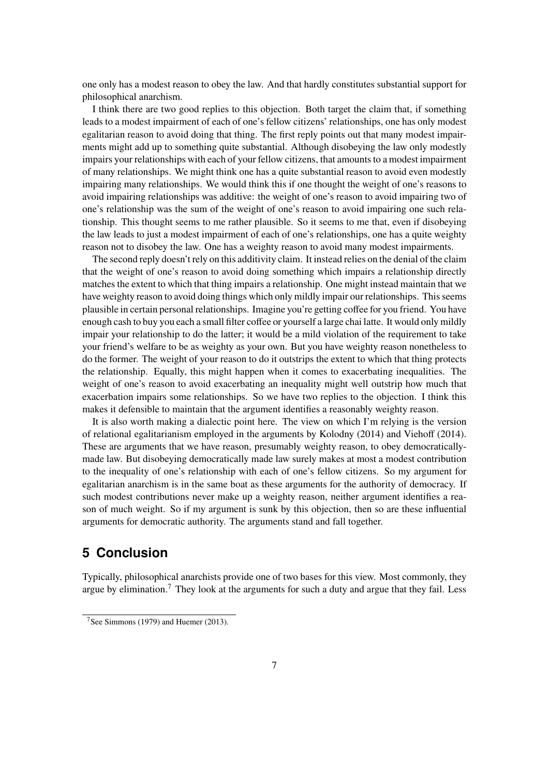one only has a modest reason to obey the law. And that hardly constitutes substantial support for philosophical anarchism.

I think there are two good replies to this objection. Both target the claim that, if something leads to a modest impairment of each of one's fellow citizens' relationships, one has only modest egalitarian reason to avoid doing that thing. The first reply points out that many modest impairments might add up to something quite substantial. Although disobeying the law only modestly impairs your relationships with each of your fellow citizens, that amounts to a modest impairment of many relationships. We might think one has a quite substantial reason to avoid even modestly impairing many relationships. We would think this if one thought the weight of one's reasons to avoid impairing relationships was additive: the weight of one's reason to avoid impairing two of one's relationship was the sum of the weight of one's reason to avoid impairing one such relationship. This thought seems to me rather plausible. So it seems to me that, even if disobeying the law leads to just a modest impairment of each of one's relationships, one has a quite weighty reason not to disobey the law. One has a weighty reason to avoid many modest impairments.

The second reply doesn't rely on this additivity claim. It instead relies on the denial of the claim that the weight of one's reason to avoid doing something which impairs a relationship directly matches the extent to which that thing impairs a relationship. One might instead maintain that we have weighty reason to avoid doing things which only mildly impair our relationships. This seems plausible in certain personal relationships. Imagine you're getting coffee for you friend. You have enough cash to buy you each a small filter coffee or yourself a large chai latte. It would only mildly impair your relationship to do the latter; it would be a mild violation of the requirement to take your friend's welfare to be as weighty as your own. But you have weighty reason nonetheless to do the former. The weight of your reason to do it outstrips the extent to which that thing protects the relationship. Equally, this might happen when it comes to exacerbating inequalities. The weight of one's reason to avoid exacerbating an inequality might well outstrip how much that exacerbation impairs some relationships. So we have two replies to the objection. I think this makes it defensible to maintain that the argument identifies a reasonably weighty reason.

It is also worth making a dialectic point here. The view on which I'm relying is the version of relational egalitarianism employed in the arguments by [Kolodny](#page-7-5) [\(2014\)](#page-7-5) and [Viehoff](#page-7-6) [\(2014\)](#page-7-6). These are arguments that we have reason, presumably weighty reason, to obey democraticallymade law. But disobeying democratically made law surely makes at most a modest contribution to the inequality of one's relationship with each of one's fellow citizens. So my argument for egalitarian anarchism is in the same boat as these arguments for the authority of democracy. If such modest contributions never make up a weighty reason, neither argument identifies a reason of much weight. So if my argument is sunk by this objection, then so are these influential arguments for democratic authority. The arguments stand and fall together.

## **5 Conclusion**

Typically, philosophical anarchists provide one of two bases for this view. Most commonly, they argue by elimination.<sup>[7](#page-6-0)</sup> They look at the arguments for such a duty and argue that they fail. Less

<span id="page-6-0"></span><sup>7</sup>See [Simmons](#page-7-0) [\(1979\)](#page-7-0) and [Huemer](#page-7-1) [\(2013\)](#page-7-1).